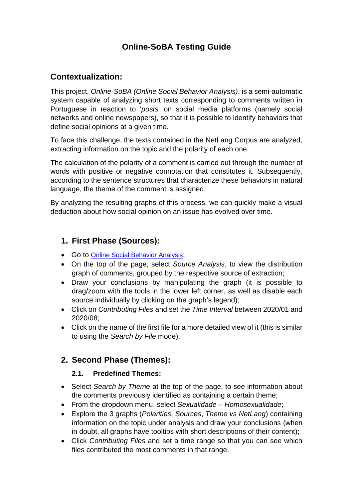# **Online-SoBA Testing Guide**

## **Contextualization:**

This project, *Online-SoBA (Online Social Behavior Analysis)*, is a semi-automatic system capable of analyzing short texts corresponding to comments written in Portuguese in reaction to '*posts*' on social media platforms (namely social networks and online newspapers), so that it is possible to identify behaviors that define social opinions at a given time.

To face this challenge, the texts contained in the NetLang Corpus are analyzed, extracting information on the topic and the polarity of each one.

The calculation of the polarity of a comment is carried out through the number of words with positive or negative connotation that constitutes it. Subsequently, according to the sentence structures that characterize these behaviors in natural language, the theme of the comment is assigned.

By analyzing the resulting graphs of this process, we can quickly make a visual deduction about how social opinion on an issue has evolved over time.

## **1. First Phase (Sources):**

- Go to [Online Social Behavior Analysis](http://netlang-corpus.ilch.uminho.pt:10300/);
- On the top of the page, select *Source Analysis*, to view the distribution graph of comments, grouped by the respective source of extraction;
- Draw your conclusions by manipulating the graph (it is possible to drag/zoom with the tools in the lower left corner, as well as disable each source individually by clicking on the graph's legend);
- Click on *Contributing Files* and set the *Time Interval* between 2020/01 and 2020/08;
- Click on the name of the first file for a more detailed view of it (this is similar to using the *Search by File* mode).

## **2. Second Phase (Themes):**

#### **2.1. Predefined Themes:**

- Select *Search by Theme* at the top of the page, to see information about the comments previously identified as containing a certain theme;
- From the dropdown menu, select *Sexualidade – Homosexualidade*;
- Explore the 3 graphs (*Polarities*, *Sources*, *Theme vs NetLang*) containing information on the topic under analysis and draw your conclusions (when in doubt, all graphs have tooltips with short descriptions of their content);
- Click *Contributing Files* and set a time range so that you can see which files contributed the most comments in that range.